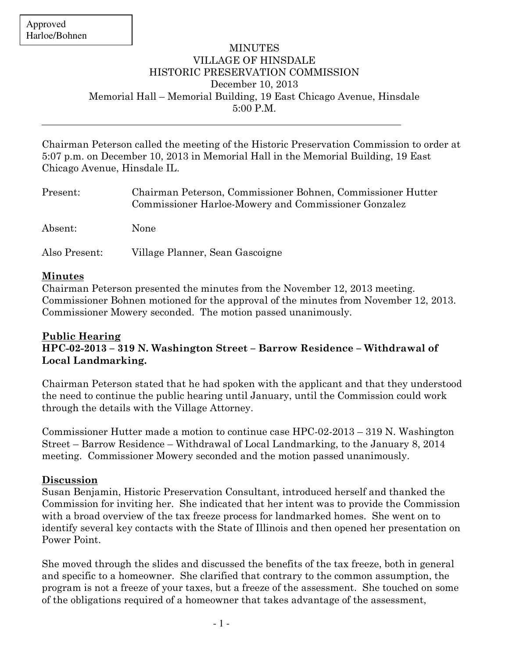### MINUTES VILLAGE OF HINSDALE HISTORIC PRESERVATION COMMISSION December 10, 2013 Memorial Hall – Memorial Building, 19 East Chicago Avenue, Hinsdale 5:00 P.M.

Chairman Peterson called the meeting of the Historic Preservation Commission to order at 5:07 p.m. on December 10, 2013 in Memorial Hall in the Memorial Building, 19 East Chicago Avenue, Hinsdale IL.

| Present:      | Chairman Peterson, Commissioner Bohnen, Commissioner Hutter<br>Commissioner Harloe-Mowery and Commissioner Gonzalez |
|---------------|---------------------------------------------------------------------------------------------------------------------|
| Absent:       | <b>None</b>                                                                                                         |
| Also Present: | Village Planner, Sean Gascoigne                                                                                     |

#### **Minutes**

Chairman Peterson presented the minutes from the November 12, 2013 meeting. Commissioner Bohnen motioned for the approval of the minutes from November 12, 2013. Commissioner Mowery seconded. The motion passed unanimously.

#### **Public Hearing HPC-02-2013 – 319 N. Washington Street – Barrow Residence – Withdrawal of Local Landmarking.**

Chairman Peterson stated that he had spoken with the applicant and that they understood the need to continue the public hearing until January, until the Commission could work through the details with the Village Attorney.

Commissioner Hutter made a motion to continue case HPC-02-2013 – 319 N. Washington Street – Barrow Residence – Withdrawal of Local Landmarking, to the January 8, 2014 meeting. Commissioner Mowery seconded and the motion passed unanimously.

## **Discussion**

Susan Benjamin, Historic Preservation Consultant, introduced herself and thanked the Commission for inviting her. She indicated that her intent was to provide the Commission with a broad overview of the tax freeze process for landmarked homes. She went on to identify several key contacts with the State of Illinois and then opened her presentation on Power Point.

She moved through the slides and discussed the benefits of the tax freeze, both in general and specific to a homeowner. She clarified that contrary to the common assumption, the program is not a freeze of your taxes, but a freeze of the assessment. She touched on some of the obligations required of a homeowner that takes advantage of the assessment,